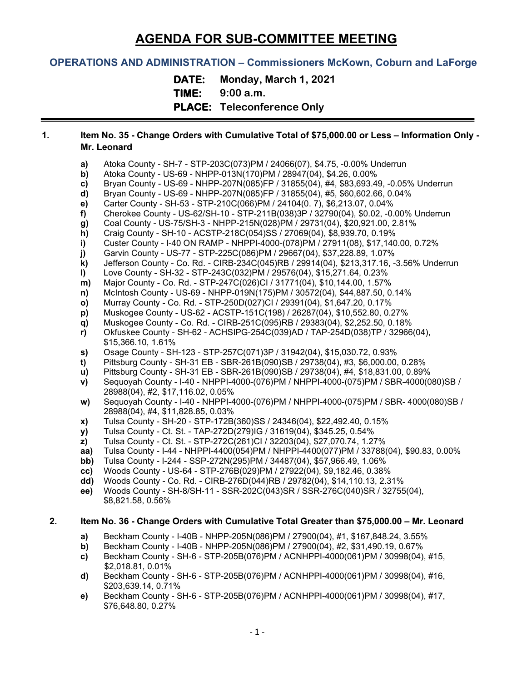# **AGENDA FOR SUB-COMMITTEE MEETING**

## **OPERATIONS AND ADMINISTRATION – Commissioners McKown, Coburn and LaForge**

**DATE: Monday, March 1, 2021**

**TIME: 9:00 a.m.**

**PLACE: Teleconference Only**

### **1. Item No. 35 - Change Orders with Cumulative Total of \$75,000.00 or Less – Information Only - Mr. Leonard**

- **a)** Atoka County SH-7 STP-203C(073)PM / 24066(07), \$4.75, -0.00% Underrun
- **b)** Atoka County US-69 NHPP-013N(170)PM / 28947(04), \$4.26, 0.00%
- **c)** Bryan County US-69 NHPP-207N(085)FP / 31855(04), #4, \$83,693.49, -0.05% Underrun
- **d)** Bryan County US-69 NHPP-207N(085)FP / 31855(04), #5, \$60,602.66, 0.04%
- **e)** Carter County SH-53 STP-210C(066)PM / 24104(0. 7), \$6,213.07, 0.04%
- **f)** Cherokee County US-62/SH-10 STP-211B(038)3P / 32790(04), \$0.02, -0.00% Underrun
- **g)** Coal County US-75/SH-3 NHPP-215N(028)PM / 29731(04), \$20,921.00, 2.81%
- **h)** Craig County SH-10 ACSTP-218C(054)SS / 27069(04), \$8,939.70, 0.19%<br>**i)** Custer County I-40 ON RAMP NHPPI-4000-(078)PM / 27911(08), \$17,140
- **i)** Custer County I-40 ON RAMP NHPPI-4000-(078)PM / 27911(08), \$17,140.00, 0.72%
- 
- **j)** Garvin County US-77 STP-225C(086)PM / 29667(04), \$37,228.89, 1.07% **k)** Jefferson County - Co. Rd. - CIRB-234C(045)RB / 29914(04), \$213,317.16, -3.56% Underrun
- **l)** Love County SH-32 STP-243C(032)PM / 29576(04), \$15,271.64, 0.23%
- **m)** Major County Co. Rd. STP-247C(026)CI / 31771(04), \$10,144.00, 1.57%
- **n)** McIntosh County US-69 NHPP-019N(175)PM / 30572(04), \$44,887.50, 0.14%<br>**o)** Murray County Co. Rd. STP-250D(027)Cl / 29391(04), \$1,647.20, 0.17%
- 
- **o)** Murray County Co. Rd. STP-250D(027)CI / 29391(04), \$1,647.20, 0.17% **p)** Muskogee County - US-62 - ACSTP-151C(198) / 26287(04), \$10,552.80, 0.27%
- **q)** Muskogee County Co. Rd. CIRB-251C(095)RB / 29383(04), \$2,252.50, 0.18%
- **r)** Okfuskee County SH-62 ACHSIPG-254C(039)AD / TAP-254D(038)TP / 32966(04), \$15,366.10, 1.61%
- **s)** Osage County SH-123 STP-257C(071)3P / 31942(04), \$15,030.72, 0.93%
- **t)** Pittsburg County SH-31 EB SBR-261B(090)SB / 29738(04), #3, \$6,000.00, 0.28%
- **u)** Pittsburg County SH-31 EB SBR-261B(090)SB / 29738(04), #4, \$18,831.00, 0.89%
- **v)** Sequoyah County I-40 NHPPI-4000-(076)PM / NHPPI-4000-(075)PM / SBR-4000(080)SB / 28988(04), #2, \$17,116.02, 0.05%
- **w)** Sequoyah County I-40 NHPPI-4000-(076)PM / NHPPI-4000-(075)PM / SBR- 4000(080)SB / 28988(04), #4, \$11,828.85, 0.03%
- **x)** Tulsa County SH-20 STP-172B(360)SS / 24346(04), \$22,492.40, 0.15%
- **y)** Tulsa County Ct. St. TAP-272D(279)IG / 31619(04), \$345.25, 0.54%
- **z)** Tulsa County Ct. St. STP-272C(261)CI / 32203(04), \$27,070.74, 1.27%
- **aa)** Tulsa County I-44 NHPPI-4400(054)PM / NHPPI-4400(077)PM / 33788(04), \$90.83, 0.00%
- **bb)** Tulsa County I-244 SSP-272N(295)PM / 34487(04), \$57,966.49, 1.06%
- **cc)** Woods County US-64 STP-276B(029)PM / 27922(04), \$9,182.46, 0.38%
- **dd)** Woods County Co. Rd. CIRB-276D(044)RB / 29782(04), \$14,110.13, 2.31%
- **ee)** Woods County SH-8/SH-11 SSR-202C(043)SR / SSR-276C(040)SR / 32755(04), \$8,821.58, 0.56%

#### **2. Item No. 36 - Change Orders with Cumulative Total Greater than \$75,000.00 – Mr. Leonard**

- **a)** Beckham County I-40B NHPP-205N(086)PM / 27900(04), #1, \$167,848.24, 3.55%
- **b)** Beckham County I-40B NHPP-205N(086)PM / 27900(04), #2, \$31,490.19, 0.67%
- **c)** Beckham County SH-6 STP-205B(076)PM / ACNHPPI-4000(061)PM / 30998(04), #15, \$2,018.81, 0.01%
- **d)** Beckham County SH-6 STP-205B(076)PM / ACNHPPI-4000(061)PM / 30998(04), #16, \$203,639.14, 0.71%
- **e)** Beckham County SH-6 STP-205B(076)PM / ACNHPPI-4000(061)PM / 30998(04), #17, \$76,648.80, 0.27%